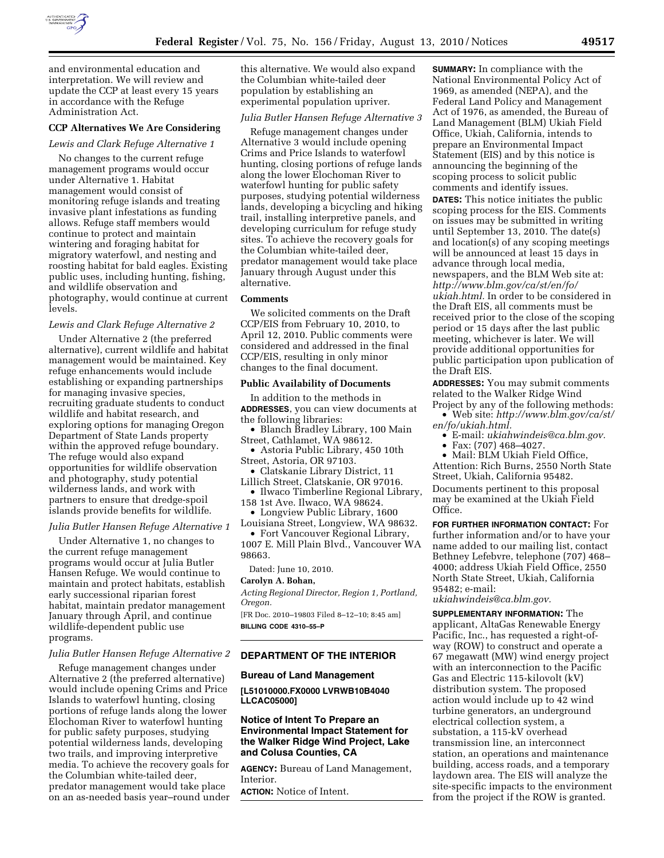

and environmental education and interpretation. We will review and update the CCP at least every 15 years in accordance with the Refuge Administration Act.

## **CCP Alternatives We Are Considering**

#### *Lewis and Clark Refuge Alternative 1*

No changes to the current refuge management programs would occur under Alternative 1. Habitat management would consist of monitoring refuge islands and treating invasive plant infestations as funding allows. Refuge staff members would continue to protect and maintain wintering and foraging habitat for migratory waterfowl, and nesting and roosting habitat for bald eagles. Existing public uses, including hunting, fishing, and wildlife observation and photography, would continue at current levels.

#### *Lewis and Clark Refuge Alternative 2*

Under Alternative 2 (the preferred alternative), current wildlife and habitat management would be maintained. Key refuge enhancements would include establishing or expanding partnerships for managing invasive species, recruiting graduate students to conduct wildlife and habitat research, and exploring options for managing Oregon Department of State Lands property within the approved refuge boundary. The refuge would also expand opportunities for wildlife observation and photography, study potential wilderness lands, and work with partners to ensure that dredge-spoil islands provide benefits for wildlife.

#### *Julia Butler Hansen Refuge Alternative 1*

Under Alternative 1, no changes to the current refuge management programs would occur at Julia Butler Hansen Refuge. We would continue to maintain and protect habitats, establish early successional riparian forest habitat, maintain predator management January through April, and continue wildlife-dependent public use programs.

#### *Julia Butler Hansen Refuge Alternative 2*

Refuge management changes under Alternative 2 (the preferred alternative) would include opening Crims and Price Islands to waterfowl hunting, closing portions of refuge lands along the lower Elochoman River to waterfowl hunting for public safety purposes, studying potential wilderness lands, developing two trails, and improving interpretive media. To achieve the recovery goals for the Columbian white-tailed deer, predator management would take place on an as-needed basis year–round under

this alternative. We would also expand the Columbian white-tailed deer population by establishing an experimental population upriver.

## *Julia Butler Hansen Refuge Alternative 3*

Refuge management changes under Alternative 3 would include opening Crims and Price Islands to waterfowl hunting, closing portions of refuge lands along the lower Elochoman River to waterfowl hunting for public safety purposes, studying potential wilderness lands, developing a bicycling and hiking trail, installing interpretive panels, and developing curriculum for refuge study sites. To achieve the recovery goals for the Columbian white-tailed deer, predator management would take place January through August under this alternative.

#### **Comments**

We solicited comments on the Draft CCP/EIS from February 10, 2010, to April 12, 2010. Public comments were considered and addressed in the final CCP/EIS, resulting in only minor changes to the final document.

#### **Public Availability of Documents**

In addition to the methods in **ADDRESSES**, you can view documents at the following libraries:

• Blanch Bradley Library, 100 Main Street, Cathlamet, WA 98612.

• Astoria Public Library, 450 10th Street, Astoria, OR 97103.

• Clatskanie Library District, 11 Lillich Street, Clatskanie, OR 97016.

• Ilwaco Timberline Regional Library, 158 1st Ave. Ilwaco, WA 98624.

• Longview Public Library, 1600

Louisiana Street, Longview, WA 98632. • Fort Vancouver Regional Library,

1007 E. Mill Plain Blvd., Vancouver WA 98663.

Dated: June 10, 2010.

# **Carolyn A. Bohan,**

*Acting Regional Director, Region 1, Portland, Oregon.* 

[FR Doc. 2010–19803 Filed 8–12–10; 8:45 am] **BILLING CODE 4310–55–P** 

## **DEPARTMENT OF THE INTERIOR**

#### **Bureau of Land Management**

**[L51010000.FX0000 LVRWB10B4040 LLCAC05000]** 

## **Notice of Intent To Prepare an Environmental Impact Statement for the Walker Ridge Wind Project, Lake and Colusa Counties, CA**

**AGENCY:** Bureau of Land Management, Interior.

**ACTION:** Notice of Intent.

**SUMMARY:** In compliance with the National Environmental Policy Act of 1969, as amended (NEPA), and the Federal Land Policy and Management Act of 1976, as amended, the Bureau of Land Management (BLM) Ukiah Field Office, Ukiah, California, intends to prepare an Environmental Impact Statement (EIS) and by this notice is announcing the beginning of the scoping process to solicit public comments and identify issues. **DATES:** This notice initiates the public scoping process for the EIS. Comments on issues may be submitted in writing until September 13, 2010. The date(s) and location(s) of any scoping meetings will be announced at least 15 days in advance through local media, newspapers, and the BLM Web site at: *[http://www.blm.gov/ca/st/en/fo/](http://www.blm.gov/ca/st/en/fo/ukiah.html) [ukiah.html.](http://www.blm.gov/ca/st/en/fo/ukiah.html)* In order to be considered in the Draft EIS, all comments must be received prior to the close of the scoping period or 15 days after the last public meeting, whichever is later. We will provide additional opportunities for public participation upon publication of

**ADDRESSES:** You may submit comments related to the Walker Ridge Wind

Project by any of the following methods: • Web site: *[http://www.blm.gov/ca/st/](http://www.blm.gov/ca/st/en/fo/ukiah.html)  [en/fo/ukiah.html.](http://www.blm.gov/ca/st/en/fo/ukiah.html)* 

• E-mail: *[ukiahwindeis@ca.blm.gov.](mailto:ukiahwindeis@ca.blm.gov)* 

• Fax: (707) 468–4027.

the Draft EIS.

• Mail: BLM Ukiah Field Office, Attention: Rich Burns, 2550 North State Street, Ukiah, California 95482. Documents pertinent to this proposal may be examined at the Ukiah Field Office.

**FOR FURTHER INFORMATION CONTACT:** For further information and/or to have your name added to our mailing list, contact Bethney Lefebvre, telephone (707) 468– 4000; address Ukiah Field Office, 2550 North State Street, Ukiah, California 95482; e-mail:

*[ukiahwindeis@ca.blm.gov.](mailto:ukiahwindeis@ca.blm.gov)* 

**SUPPLEMENTARY INFORMATION:** The applicant, AltaGas Renewable Energy Pacific, Inc., has requested a right-ofway (ROW) to construct and operate a 67 megawatt (MW) wind energy project with an interconnection to the Pacific Gas and Electric 115-kilovolt (kV) distribution system. The proposed action would include up to 42 wind turbine generators, an underground electrical collection system, a substation, a 115-kV overhead transmission line, an interconnect station, an operations and maintenance building, access roads, and a temporary laydown area. The EIS will analyze the site-specific impacts to the environment from the project if the ROW is granted.